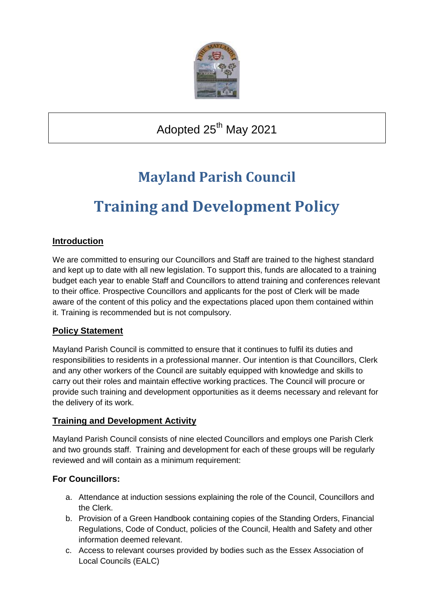

Adopted 25<sup>th</sup> May 2021

## **Mayland Parish Council**

# **Training and Development Policy**

## **Introduction**

We are committed to ensuring our Councillors and Staff are trained to the highest standard and kept up to date with all new legislation. To support this, funds are allocated to a training budget each year to enable Staff and Councillors to attend training and conferences relevant to their office. Prospective Councillors and applicants for the post of Clerk will be made aware of the content of this policy and the expectations placed upon them contained within it. Training is recommended but is not compulsory.

### **Policy Statement**

Mayland Parish Council is committed to ensure that it continues to fulfil its duties and responsibilities to residents in a professional manner. Our intention is that Councillors, Clerk and any other workers of the Council are suitably equipped with knowledge and skills to carry out their roles and maintain effective working practices. The Council will procure or provide such training and development opportunities as it deems necessary and relevant for the delivery of its work.

### **Training and Development Activity**

Mayland Parish Council consists of nine elected Councillors and employs one Parish Clerk and two grounds staff. Training and development for each of these groups will be regularly reviewed and will contain as a minimum requirement:

### **For Councillors:**

- a. Attendance at induction sessions explaining the role of the Council, Councillors and the Clerk.
- b. Provision of a Green Handbook containing copies of the Standing Orders, Financial Regulations, Code of Conduct, policies of the Council, Health and Safety and other information deemed relevant.
- c. Access to relevant courses provided by bodies such as the Essex Association of Local Councils (EALC)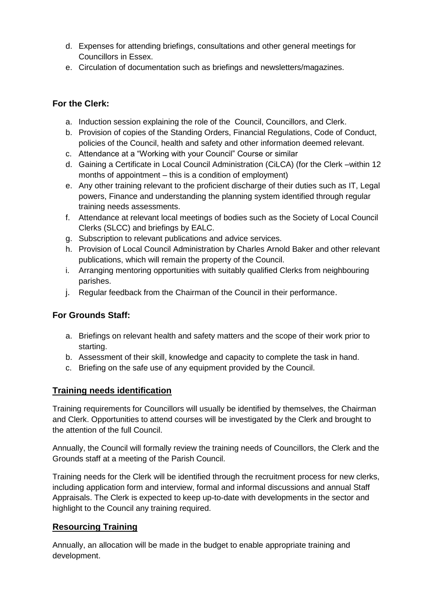- d. Expenses for attending briefings, consultations and other general meetings for Councillors in Essex.
- e. Circulation of documentation such as briefings and newsletters/magazines.

## **For the Clerk:**

- a. Induction session explaining the role of the Council, Councillors, and Clerk.
- b. Provision of copies of the Standing Orders, Financial Regulations, Code of Conduct, policies of the Council, health and safety and other information deemed relevant.
- c. Attendance at a "Working with your Council" Course or similar
- d. Gaining a Certificate in Local Council Administration (CiLCA) (for the Clerk –within 12 months of appointment – this is a condition of employment)
- e. Any other training relevant to the proficient discharge of their duties such as IT, Legal powers, Finance and understanding the planning system identified through regular training needs assessments.
- f. Attendance at relevant local meetings of bodies such as the Society of Local Council Clerks (SLCC) and briefings by EALC.
- g. Subscription to relevant publications and advice services.
- h. Provision of Local Council Administration by Charles Arnold Baker and other relevant publications, which will remain the property of the Council.
- i. Arranging mentoring opportunities with suitably qualified Clerks from neighbouring parishes.
- j. Regular feedback from the Chairman of the Council in their performance.

## **For Grounds Staff:**

- a. Briefings on relevant health and safety matters and the scope of their work prior to starting.
- b. Assessment of their skill, knowledge and capacity to complete the task in hand.
- c. Briefing on the safe use of any equipment provided by the Council.

### **Training needs identification**

Training requirements for Councillors will usually be identified by themselves, the Chairman and Clerk. Opportunities to attend courses will be investigated by the Clerk and brought to the attention of the full Council.

Annually, the Council will formally review the training needs of Councillors, the Clerk and the Grounds staff at a meeting of the Parish Council.

Training needs for the Clerk will be identified through the recruitment process for new clerks, including application form and interview, formal and informal discussions and annual Staff Appraisals. The Clerk is expected to keep up-to-date with developments in the sector and highlight to the Council any training required.

## **Resourcing Training**

Annually, an allocation will be made in the budget to enable appropriate training and development.